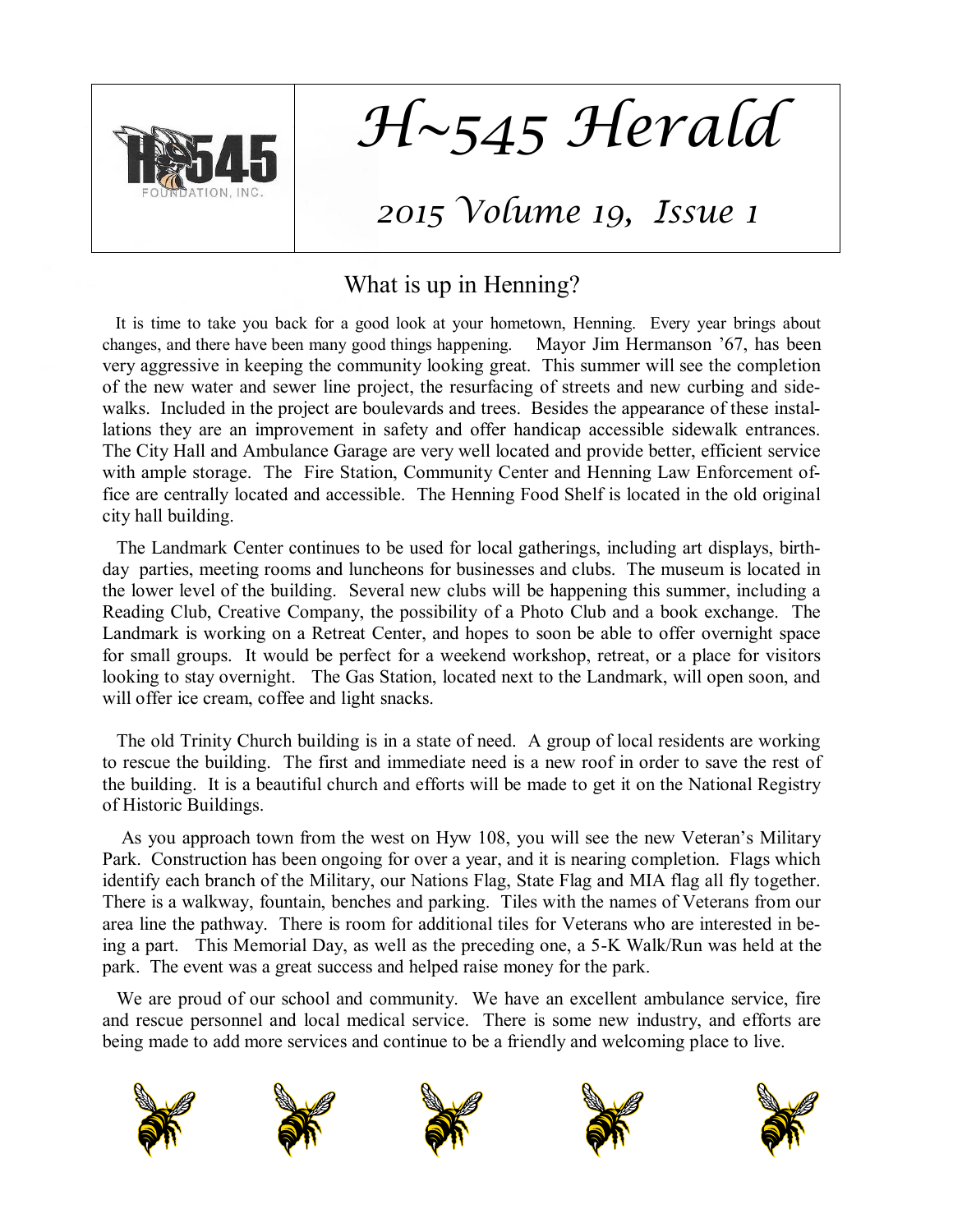

*H~545 Herald*

# *2015 Volume 19, Issue 1*

## What is up in Henning?

 It is time to take you back for a good look at your hometown, Henning. Every year brings about changes, and there have been many good things happening. Mayor Jim Hermanson '67, has been very aggressive in keeping the community looking great. This summer will see the completion of the new water and sewer line project, the resurfacing of streets and new curbing and sidewalks. Included in the project are boulevards and trees. Besides the appearance of these installations they are an improvement in safety and offer handicap accessible sidewalk entrances. The City Hall and Ambulance Garage are very well located and provide better, efficient service with ample storage. The Fire Station, Community Center and Henning Law Enforcement office are centrally located and accessible. The Henning Food Shelf is located in the old original city hall building.

 The Landmark Center continues to be used for local gatherings, including art displays, birthday parties, meeting rooms and luncheons for businesses and clubs. The museum is located in the lower level of the building. Several new clubs will be happening this summer, including a Reading Club, Creative Company, the possibility of a Photo Club and a book exchange. The Landmark is working on a Retreat Center, and hopes to soon be able to offer overnight space for small groups. It would be perfect for a weekend workshop, retreat, or a place for visitors looking to stay overnight. The Gas Station, located next to the Landmark, will open soon, and will offer ice cream, coffee and light snacks.

 The old Trinity Church building is in a state of need. A group of local residents are working to rescue the building. The first and immediate need is a new roof in order to save the rest of the building. It is a beautiful church and efforts will be made to get it on the National Registry of Historic Buildings.

 As you approach town from the west on Hyw 108, you will see the new Veteran's Military Park. Construction has been ongoing for over a year, and it is nearing completion. Flags which identify each branch of the Military, our Nations Flag, State Flag and MIA flag all fly together. There is a walkway, fountain, benches and parking. Tiles with the names of Veterans from our area line the pathway. There is room for additional tiles for Veterans who are interested in being a part. This Memorial Day, as well as the preceding one, a 5-K Walk/Run was held at the park. The event was a great success and helped raise money for the park.

 We are proud of our school and community. We have an excellent ambulance service, fire and rescue personnel and local medical service. There is some new industry, and efforts are being made to add more services and continue to be a friendly and welcoming place to live.

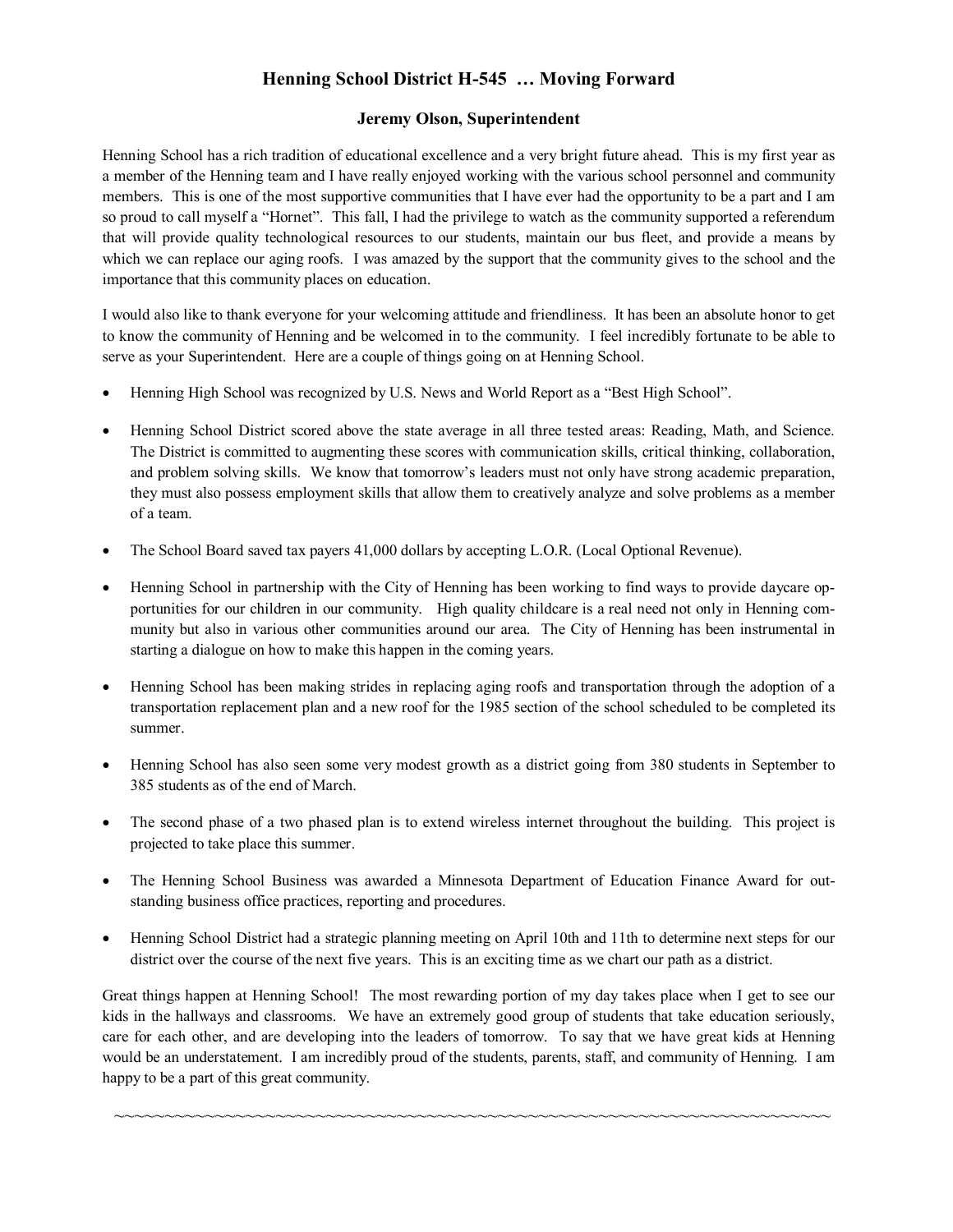### **Henning School District H-545 … Moving Forward**

#### **Jeremy Olson, Superintendent**

Henning School has a rich tradition of educational excellence and a very bright future ahead. This is my first year as a member of the Henning team and I have really enjoyed working with the various school personnel and community members. This is one of the most supportive communities that I have ever had the opportunity to be a part and I am so proud to call myself a "Hornet". This fall, I had the privilege to watch as the community supported a referendum that will provide quality technological resources to our students, maintain our bus fleet, and provide a means by which we can replace our aging roofs. I was amazed by the support that the community gives to the school and the importance that this community places on education.

I would also like to thank everyone for your welcoming attitude and friendliness. It has been an absolute honor to get to know the community of Henning and be welcomed in to the community. I feel incredibly fortunate to be able to serve as your Superintendent. Here are a couple of things going on at Henning School.

- Henning High School was recognized by U.S. News and World Report as a "Best High School".
- Henning School District scored above the state average in all three tested areas: Reading, Math, and Science. The District is committed to augmenting these scores with communication skills, critical thinking, collaboration, and problem solving skills. We know that tomorrow's leaders must not only have strong academic preparation, they must also possess employment skills that allow them to creatively analyze and solve problems as a member of a team.
- The School Board saved tax payers 41,000 dollars by accepting L.O.R. (Local Optional Revenue).
- Henning School in partnership with the City of Henning has been working to find ways to provide daycare opportunities for our children in our community. High quality childcare is a real need not only in Henning community but also in various other communities around our area. The City of Henning has been instrumental in starting a dialogue on how to make this happen in the coming years.
- Henning School has been making strides in replacing aging roofs and transportation through the adoption of a transportation replacement plan and a new roof for the 1985 section of the school scheduled to be completed its summer.
- Henning School has also seen some very modest growth as a district going from 380 students in September to 385 students as of the end of March.
- The second phase of a two phased plan is to extend wireless internet throughout the building. This project is projected to take place this summer.
- The Henning School Business was awarded a Minnesota Department of Education Finance Award for outstanding business office practices, reporting and procedures.
- Henning School District had a strategic planning meeting on April 10th and 11th to determine next steps for our district over the course of the next five years. This is an exciting time as we chart our path as a district.

Great things happen at Henning School! The most rewarding portion of my day takes place when I get to see our kids in the hallways and classrooms. We have an extremely good group of students that take education seriously, care for each other, and are developing into the leaders of tomorrow. To say that we have great kids at Henning would be an understatement. I am incredibly proud of the students, parents, staff, and community of Henning. I am happy to be a part of this great community.

~~~~~~~~~~~~~~~~~~~~~~~~~~~~~~~~~~~~~~~~~~~~~~~~~~~~~~~~~~~~~~~~~~~~~~~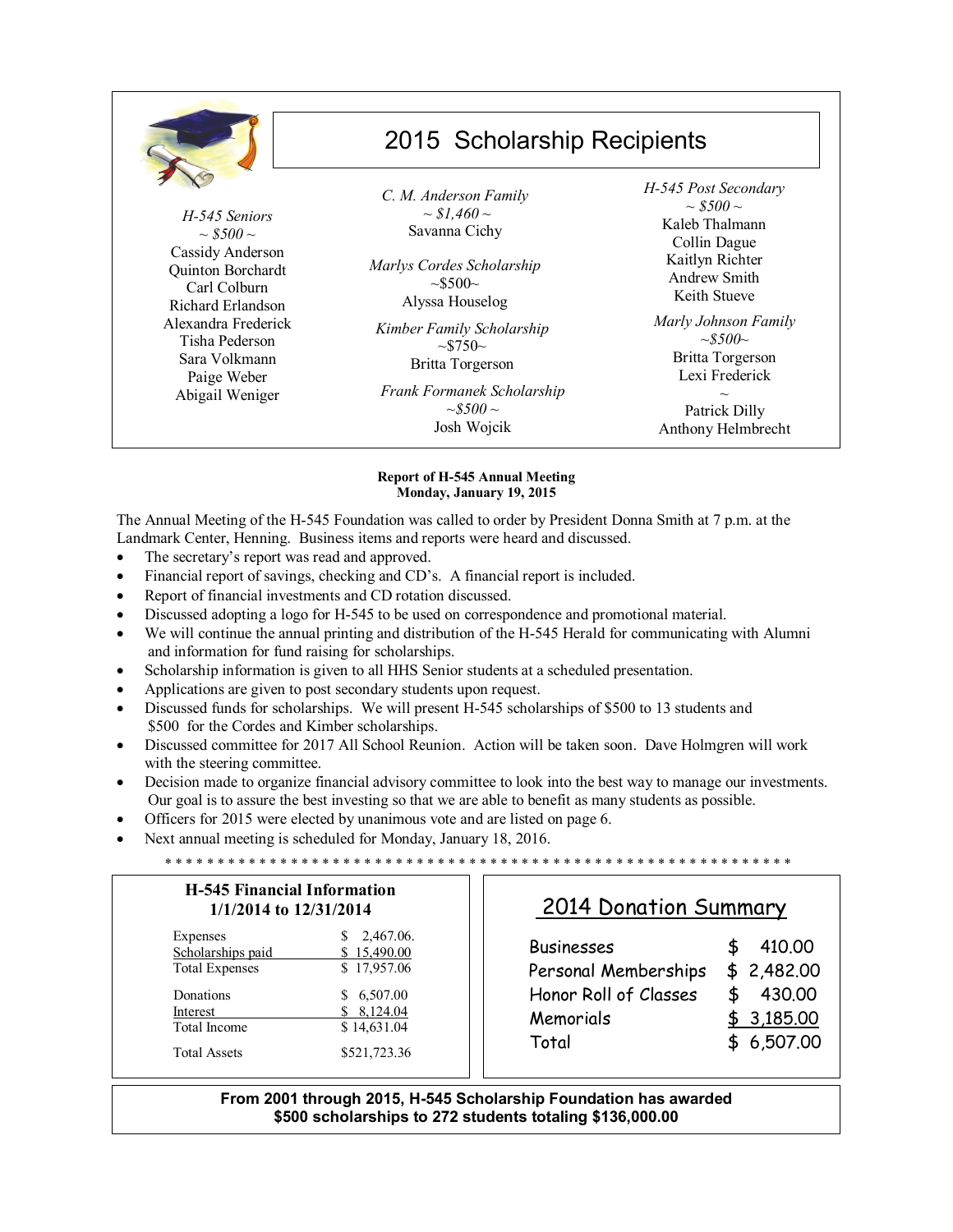|                                                                                                                                                                                                                | 2015 Scholarship Recipients                                                                                                                                                                                                                                           |                                                                                                                                                                                                                                                        |  |
|----------------------------------------------------------------------------------------------------------------------------------------------------------------------------------------------------------------|-----------------------------------------------------------------------------------------------------------------------------------------------------------------------------------------------------------------------------------------------------------------------|--------------------------------------------------------------------------------------------------------------------------------------------------------------------------------------------------------------------------------------------------------|--|
| H-545 Seniors<br>$\sim$ \$500 $\sim$<br>Cassidy Anderson<br>Quinton Borchardt<br>Carl Colburn<br>Richard Erlandson<br>Alexandra Frederick<br>Tisha Pederson<br>Sara Volkmann<br>Paige Weber<br>Abigail Weniger | C. M. Anderson Family<br>$\sim$ \$1,460 $\sim$<br>Savanna Cichy<br>Marlys Cordes Scholarship<br>$\sim 5500$ ~<br>Alyssa Houselog<br>Kimber Family Scholarship<br>$\sim 5750$ ~<br>Britta Torgerson<br>Frank Formanek Scholarship<br>$\sim 5500$ $\sim$<br>Josh Wojcik | H-545 Post Secondary<br>$\sim$ \$500 $\sim$<br>Kaleb Thalmann<br>Collin Dague<br>Kaitlyn Richter<br>Andrew Smith<br>Keith Stueve<br>Marly Johnson Family<br>$\sim 5500$ ~<br>Britta Torgerson<br>Lexi Frederick<br>Patrick Dilly<br>Anthony Helmbrecht |  |

#### **Report of H-545 Annual Meeting Monday, January 19, 2015**

The Annual Meeting of the H-545 Foundation was called to order by President Donna Smith at 7 p.m. at the Landmark Center, Henning. Business items and reports were heard and discussed.

- The secretary's report was read and approved.
- Financial report of savings, checking and CD's. A financial report is included.
- Report of financial investments and CD rotation discussed.
- Discussed adopting a logo for H-545 to be used on correspondence and promotional material.
- We will continue the annual printing and distribution of the H-545 Herald for communicating with Alumni and information for fund raising for scholarships.
- Scholarship information is given to all HHS Senior students at a scheduled presentation.
- Applications are given to post secondary students upon request.
- Discussed funds for scholarships. We will present H-545 scholarships of \$500 to 13 students and \$500 for the Cordes and Kimber scholarships.
- Discussed committee for 2017 All School Reunion. Action will be taken soon. Dave Holmgren will work with the steering committee.
- Decision made to organize financial advisory committee to look into the best way to manage our investments. Our goal is to assure the best investing so that we are able to benefit as many students as possible.
- Officers for 2015 were elected by unanimous vote and are listed on page 6.
- Next annual meeting is scheduled for Monday, January 18, 2016.

\* \* \* \* \* \* \* \* \* \* \* \* \* \* \* \* \* \* \* \* \* \* \* \* \* \* \* \* \* \* \* \* \* \* \* \* \* \* \* \* \* \* \* \* \* \* \* \* \* \* \* \* \* \* \* \* \* \* \* \* **H-545 Financial Information 1/1/2014 to 12/31/2014** Expenses \$ 2,467.06. Scholarships paid  $$ 15,490.00$ Total Expenses \$ 17,957.06 Donations \$ 6,507.00 <u>Interest \$ 8,124.04</u><br>Total Income \$ 14,631.04 \$ 14,631.04 Total Assets \$521,723.36 2014 Donation Summary Businesses \$ 410.00 Personal Memberships \$ 2,482.00 Honor Roll of Classes \$ 430.00 Memorials \$ 3,185.00 Total \$ 6,507.00

#### **From 2001 through 2015, H-545 Scholarship Foundation has awarded \$500 scholarships to 272 students totaling \$136,000.00**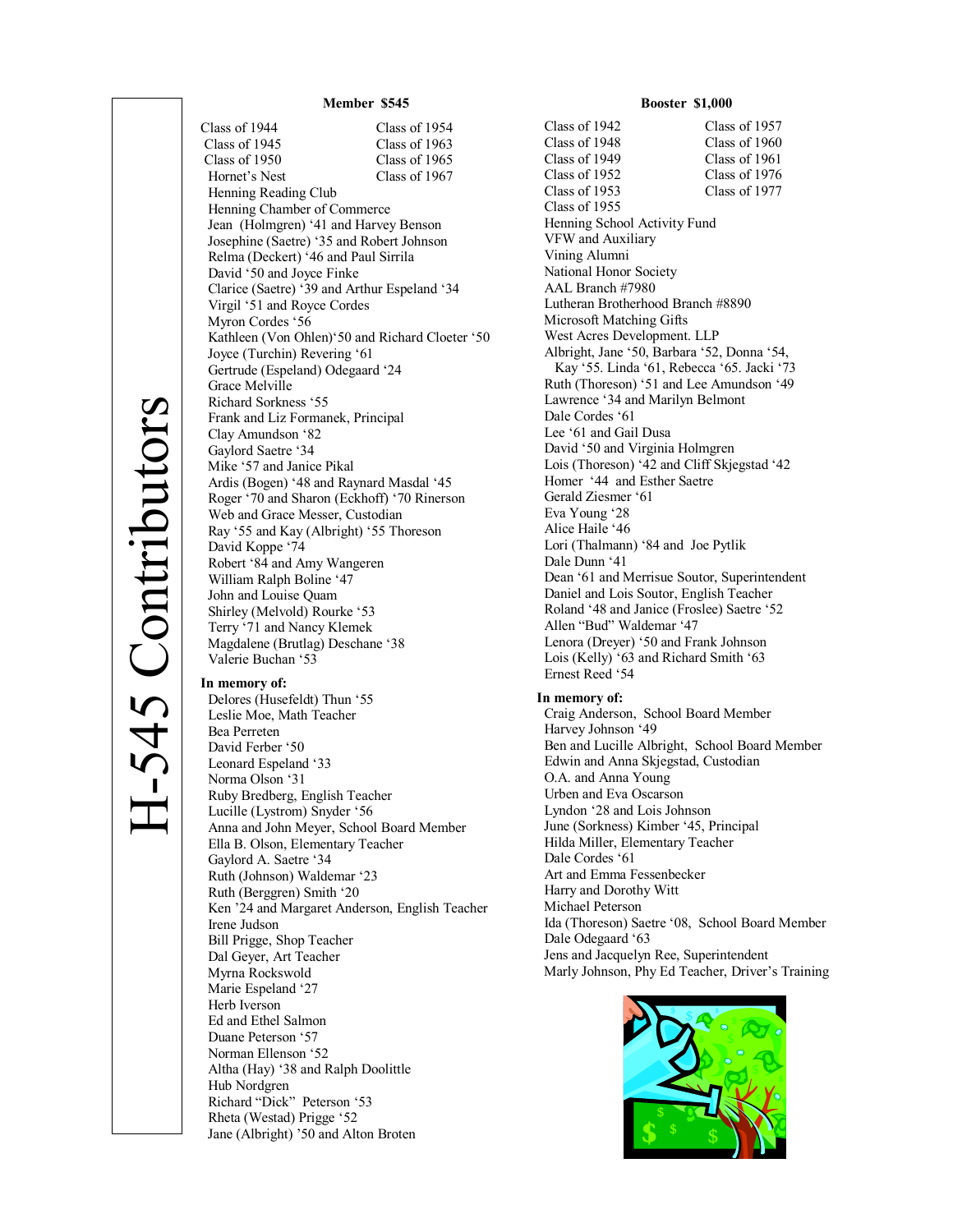David Ferber '50 Leonard Espeland '33 Norma Olson '31

 Ruby Bredberg, English Teacher Lucille (Lystrom) Snyder '56

Ella B. Olson, Elementary Teacher

Altha (Hay) '38 and Ralph Doolittle

Jane (Albright) '50 and Alton Broten

 Richard "Dick" Peterson '53 Rheta (Westad) Prigge '52

 Gaylord A. Saetre '34 Ruth (Johnson) Waldemar '23 Ruth (Berggren) Smith '20

 Bill Prigge, Shop Teacher Dal Geyer, Art Teacher Myrna Rockswold Marie Espeland '27 Herb Iverson Ed and Ethel Salmon Duane Peterson '57 Norman Ellenson '52

Irene Judson

Hub Nordgren

Anna and John Meyer, School Board Member

Ken '24 and Margaret Anderson, English Teacher

**Member \$545** Class of 1944 Class of 1954<br>Class of 1945 Class of 1963 Class of 1963 Class of 1950 Class of 1965 Hornet's Nest Class of 1967 Henning Reading Club Henning Chamber of Commerce Jean (Holmgren) '41 and Harvey Benson Josephine (Saetre) '35 and Robert Johnson Relma (Deckert) '46 and Paul Sirrila David '50 and Joyce Finke Clarice (Saetre) '39 and Arthur Espeland '34 Virgil '51 and Royce Cordes Myron Cordes '56 Kathleen (Von Ohlen)'50 and Richard Cloeter '50 Joyce (Turchin) Revering '61 Gertrude (Espeland) Odegaard '24 Grace Melville Richard Sorkness '55 Frank and Liz Formanek, Principal Clay Amundson '82 Gaylord Saetre '34 Mike '57 and Janice Pikal Ardis (Bogen) '48 and Raynard Masdal '45 Roger '70 and Sharon (Eckhoff) '70 Rinerson Web and Grace Messer, Custodian Ray '55 and Kay (Albright) '55 Thoreson David Koppe '74 Robert '84 and Amy Wangeren William Ralph Boline '47 John and Louise Quam Shirley (Melvold) Rourke '53 Terry '71 and Nancy Klemek Magdalene (Brutlag) Deschane '38 Valerie Buchan '53 **In memory of:**  Delores (Husefeldt) Thun '55 Leslie Moe, Math Teacher Bea Perreten

#### **Booster \$1,000**

 Class of 1942 Class of 1957 Class of 1948 Class of 1960 Class of 1949 Class of 1961 Class of 1952 Class of 1976 Class of 1953 Class of 1977 Class of 1955 Henning School Activity Fund VFW and Auxiliary Vining Alumni National Honor Society AAL Branch #7980 Lutheran Brotherhood Branch #8890 Microsoft Matching Gifts West Acres Development. LLP Albright, Jane '50, Barbara '52, Donna '54, Kay '55. Linda '61, Rebecca '65. Jacki '73 Ruth (Thoreson) '51 and Lee Amundson '49 Lawrence '34 and Marilyn Belmont Dale Cordes '61 Lee '61 and Gail Dusa David '50 and Virginia Holmgren Lois (Thoreson) '42 and Cliff Skjegstad '42 Homer '44 and Esther Saetre Gerald Ziesmer '61 Eva Young '28 Alice Haile '46 Lori (Thalmann) '84 and Joe Pytlik Dale Dunn '41 Dean '61 and Merrisue Soutor, Superintendent Daniel and Lois Soutor, English Teacher Roland '48 and Janice (Froslee) Saetre '52 Allen "Bud" Waldemar '47 Lenora (Dreyer) '50 and Frank Johnson Lois (Kelly) '63 and Richard Smith '63 Ernest Reed '54

**In memory of:**

 Craig Anderson, School Board Member Harvey Johnson '49 Ben and Lucille Albright, School Board Member Edwin and Anna Skjegstad, Custodian O.A. and Anna Young Urben and Eva Oscarson Lyndon '28 and Lois Johnson June (Sorkness) Kimber '45, Principal Hilda Miller, Elementary Teacher Dale Cordes '61 Art and Emma Fessenbecker Harry and Dorothy Witt Michael Peterson Ida (Thoreson) Saetre '08, School Board Member Dale Odegaard '63 Jens and Jacquelyn Ree, Superintendent Marly Johnson, Phy Ed Teacher, Driver's Training

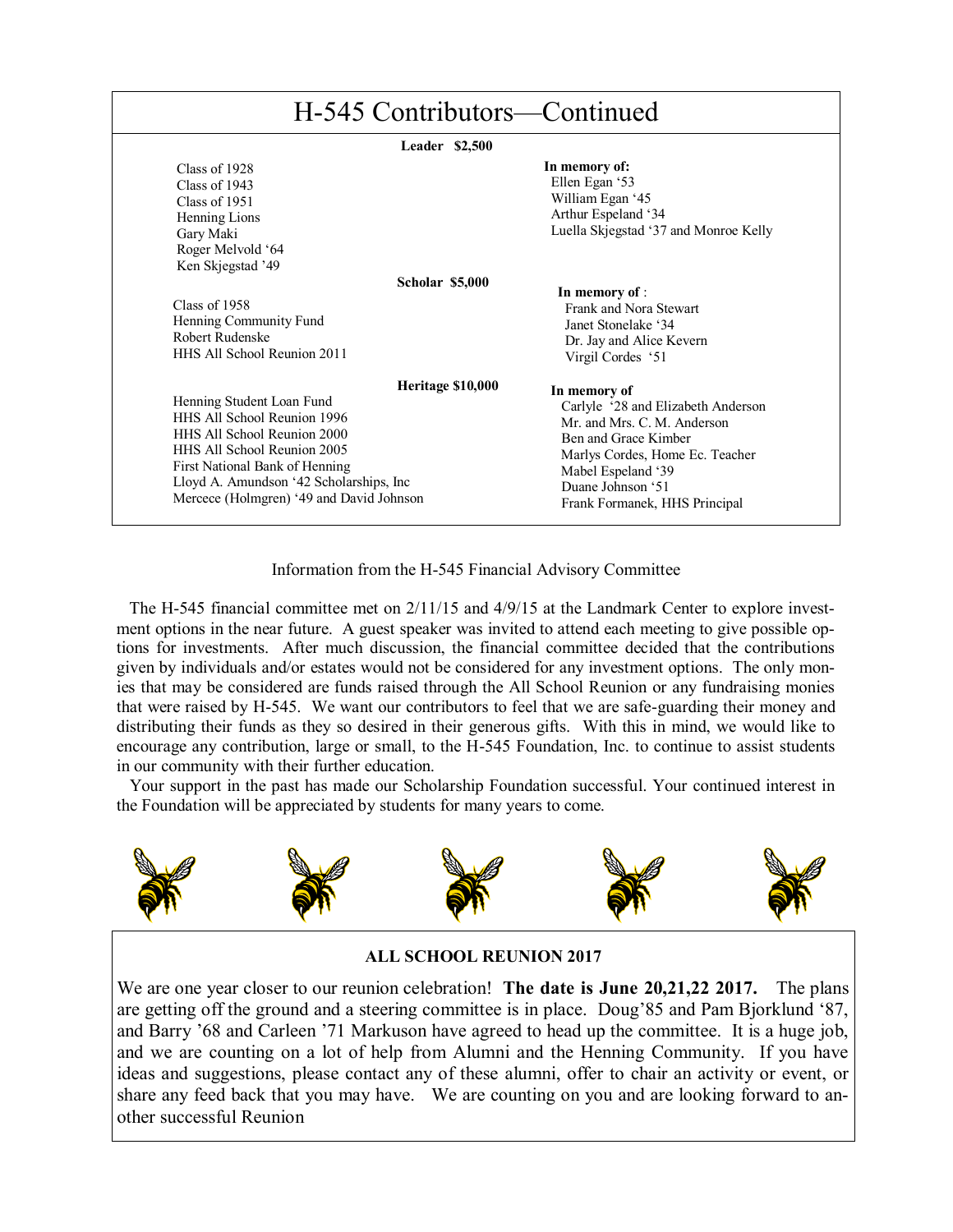| H-545 Contributors—Continued                                                                                                                                                                                                                                                 |                                                                                                                                                                                                                      |  |  |  |
|------------------------------------------------------------------------------------------------------------------------------------------------------------------------------------------------------------------------------------------------------------------------------|----------------------------------------------------------------------------------------------------------------------------------------------------------------------------------------------------------------------|--|--|--|
| Leader \$2,500                                                                                                                                                                                                                                                               |                                                                                                                                                                                                                      |  |  |  |
| Class of 1928<br>Class of $1943$<br>Class of 1951<br>Henning Lions<br>Gary Maki<br>Roger Melvold '64                                                                                                                                                                         | In memory of:<br>Ellen Egan '53<br>William Egan '45<br>Arthur Espeland '34<br>Luella Skjegstad '37 and Monroe Kelly                                                                                                  |  |  |  |
| Ken Skjegstad '49<br><b>Scholar \$5,000</b><br>Class of 1958<br>Henning Community Fund<br>Robert Rudenske<br>HHS All School Reunion 2011                                                                                                                                     | In memory of :<br>Frank and Nora Stewart<br>Janet Stonelake '34<br>Dr. Jay and Alice Kevern<br>Virgil Cordes '51                                                                                                     |  |  |  |
| Heritage \$10,000<br>Henning Student Loan Fund<br>HHS All School Reunion 1996<br>HHS All School Reunion 2000<br><b>HHS All School Reunion 2005</b><br>First National Bank of Henning<br>Lloyd A. Amundson '42 Scholarships, Inc.<br>Mercece (Holmgren) '49 and David Johnson | In memory of<br>Carlyle '28 and Elizabeth Anderson<br>Mr and Mrs C M Anderson<br>Ben and Grace Kimber<br>Marlys Cordes, Home Ec. Teacher<br>Mabel Espeland '39<br>Duane Johnson '51<br>Frank Formanek, HHS Principal |  |  |  |

Information from the H-545 Financial Advisory Committee

 The H-545 financial committee met on 2/11/15 and 4/9/15 at the Landmark Center to explore investment options in the near future. A guest speaker was invited to attend each meeting to give possible options for investments. After much discussion, the financial committee decided that the contributions given by individuals and/or estates would not be considered for any investment options. The only monies that may be considered are funds raised through the All School Reunion or any fundraising monies that were raised by H-545. We want our contributors to feel that we are safe-guarding their money and distributing their funds as they so desired in their generous gifts. With this in mind, we would like to encourage any contribution, large or small, to the H-545 Foundation, Inc. to continue to assist students in our community with their further education.

 Your support in the past has made our Scholarship Foundation successful. Your continued interest in the Foundation will be appreciated by students for many years to come.



#### **ALL SCHOOL REUNION 2017**

We are one year closer to our reunion celebration! **The date is June 20,21,22 2017.** The plans are getting off the ground and a steering committee is in place. Doug'85 and Pam Bjorklund '87, and Barry '68 and Carleen '71 Markuson have agreed to head up the committee. It is a huge job, and we are counting on a lot of help from Alumni and the Henning Community. If you have ideas and suggestions, please contact any of these alumni, offer to chair an activity or event, or share any feed back that you may have. We are counting on you and are looking forward to another successful Reunion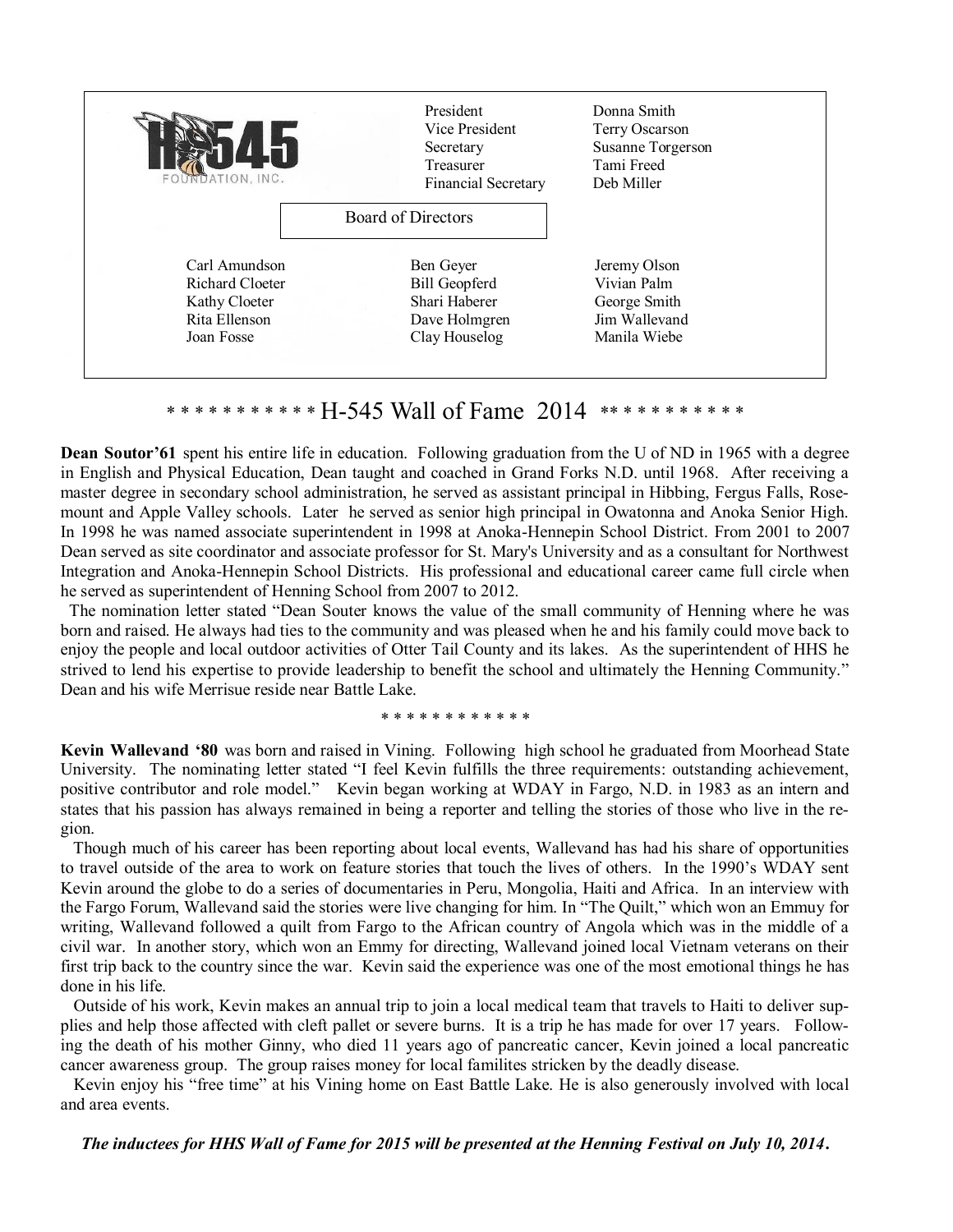| Lh<br>FOUNDATION, INC. | President<br>Vice President<br>Secretary<br>Treasurer<br><b>Financial Secretary</b> | Donna Smith<br>Terry Oscarson<br>Susanne Torgerson<br>Tami Freed<br>Deb Miller |  |
|------------------------|-------------------------------------------------------------------------------------|--------------------------------------------------------------------------------|--|
|                        | <b>Board of Directors</b>                                                           |                                                                                |  |
| Carl Amundson          | Ben Geyer                                                                           | Jeremy Olson                                                                   |  |
| Richard Cloeter        | <b>Bill Geopferd</b>                                                                | Vivian Palm                                                                    |  |
| Kathy Cloeter          | Shari Haberer                                                                       | George Smith                                                                   |  |
| Rita Ellenson          | Dave Holmgren                                                                       | Jim Wallevand                                                                  |  |
| Joan Fosse             | Clay Houselog                                                                       | Manila Wiebe                                                                   |  |

#### \* \* \* \* \* \* \* \* \* \* \* H-545 Wall of Fame 2014 \*\* \* \* \* \* \* \* \* \* \*

**Dean Soutor'61** spent his entire life in education. Following graduation from the U of ND in 1965 with a degree in English and Physical Education, Dean taught and coached in Grand Forks N.D. until 1968. After receiving a master degree in secondary school administration, he served as assistant principal in Hibbing, Fergus Falls, Rosemount and Apple Valley schools. Later he served as senior high principal in Owatonna and Anoka Senior High. In 1998 he was named associate superintendent in 1998 at Anoka-Hennepin School District. From 2001 to 2007 Dean served as site coordinator and associate professor for St. Mary's University and as a consultant for Northwest Integration and Anoka-Hennepin School Districts. His professional and educational career came full circle when he served as superintendent of Henning School from 2007 to 2012.

 The nomination letter stated "Dean Souter knows the value of the small community of Henning where he was born and raised. He always had ties to the community and was pleased when he and his family could move back to enjoy the people and local outdoor activities of Otter Tail County and its lakes. As the superintendent of HHS he strived to lend his expertise to provide leadership to benefit the school and ultimately the Henning Community." Dean and his wife Merrisue reside near Battle Lake.

#### \* \* \* \* \* \* \* \* \* \* \* \*

**Kevin Wallevand '80** was born and raised in Vining. Following high school he graduated from Moorhead State University. The nominating letter stated "I feel Kevin fulfills the three requirements: outstanding achievement, positive contributor and role model." Kevin began working at WDAY in Fargo, N.D. in 1983 as an intern and states that his passion has always remained in being a reporter and telling the stories of those who live in the region.

 Though much of his career has been reporting about local events, Wallevand has had his share of opportunities to travel outside of the area to work on feature stories that touch the lives of others. In the 1990's WDAY sent Kevin around the globe to do a series of documentaries in Peru, Mongolia, Haiti and Africa. In an interview with the Fargo Forum, Wallevand said the stories were live changing for him. In "The Quilt," which won an Emmuy for writing, Wallevand followed a quilt from Fargo to the African country of Angola which was in the middle of a civil war. In another story, which won an Emmy for directing, Wallevand joined local Vietnam veterans on their first trip back to the country since the war. Kevin said the experience was one of the most emotional things he has done in his life.

 Outside of his work, Kevin makes an annual trip to join a local medical team that travels to Haiti to deliver supplies and help those affected with cleft pallet or severe burns. It is a trip he has made for over 17 years. Following the death of his mother Ginny, who died 11 years ago of pancreatic cancer, Kevin joined a local pancreatic cancer awareness group. The group raises money for local familites stricken by the deadly disease.

 Kevin enjoy his "free time" at his Vining home on East Battle Lake. He is also generously involved with local and area events.

#### *The inductees for HHS Wall of Fame for 2015 will be presented at the Henning Festival on July 10, 2014***.**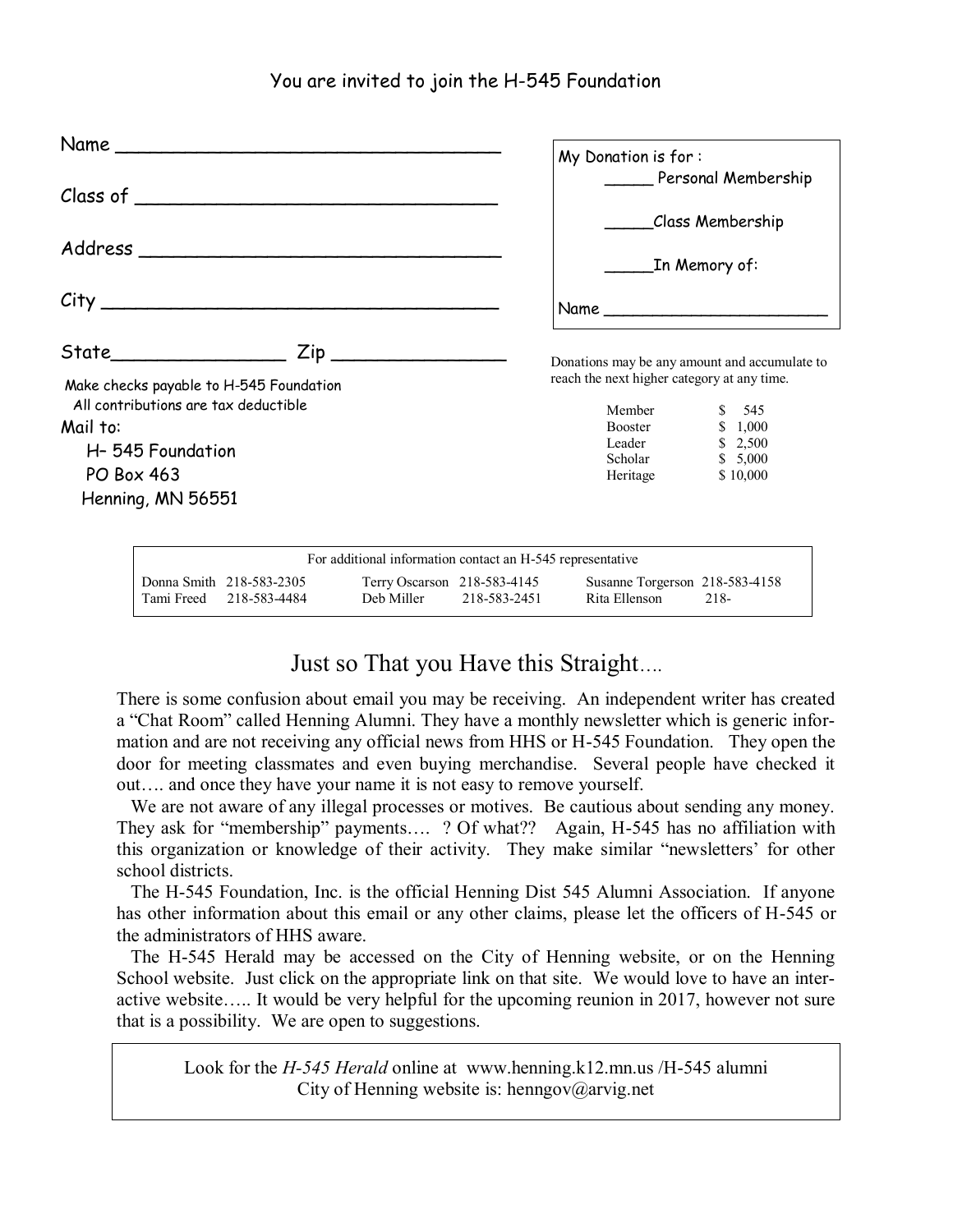### You are invited to join the H-545 Foundation

|                                         | My Donation is for:<br>Personal Membership    |  |  |
|-----------------------------------------|-----------------------------------------------|--|--|
|                                         |                                               |  |  |
|                                         | Class Membership                              |  |  |
|                                         | _In Memory of:                                |  |  |
|                                         |                                               |  |  |
|                                         | Donations may be any amount and accumulate to |  |  |
| Make checks payable to H-545 Foundation | reach the next higher category at any time.   |  |  |
| All contributions are tax deductible    | Member<br>\$ 545                              |  |  |
| Mail to:                                | \$1,000<br><b>Booster</b>                     |  |  |
| H-545 Foundation                        | \$2,500<br>Leader                             |  |  |
| <b>PO Box 463</b>                       | Scholar<br>\$5,000<br>Heritage<br>\$10,000    |  |  |
| Henning, MN 56551                       |                                               |  |  |
|                                         |                                               |  |  |

| For additional information contact an H-545 representative |                                           |              |                                                 |      |  |  |  |
|------------------------------------------------------------|-------------------------------------------|--------------|-------------------------------------------------|------|--|--|--|
| Donna Smith 218-583-2305<br>Tami Freed 218-583-4484        | Terry Oscarson 218-583-4145<br>Deb Miller | 218-583-2451 | Susanne Torgerson 218-583-4158<br>Rita Ellenson | 218- |  |  |  |

## Just so That you Have this Straight….

There is some confusion about email you may be receiving. An independent writer has created a "Chat Room" called Henning Alumni. They have a monthly newsletter which is generic information and are not receiving any official news from HHS or H-545 Foundation. They open the door for meeting classmates and even buying merchandise. Several people have checked it out…. and once they have your name it is not easy to remove yourself.

 We are not aware of any illegal processes or motives. Be cautious about sending any money. They ask for "membership" payments…. ? Of what?? Again, H-545 has no affiliation with this organization or knowledge of their activity. They make similar "newsletters' for other school districts.

 The H-545 Foundation, Inc. is the official Henning Dist 545 Alumni Association. If anyone has other information about this email or any other claims, please let the officers of H-545 or the administrators of HHS aware.

 The H-545 Herald may be accessed on the City of Henning website, or on the Henning School website. Just click on the appropriate link on that site. We would love to have an interactive website….. It would be very helpful for the upcoming reunion in 2017, however not sure that is a possibility. We are open to suggestions.

Look for the *H-545 Herald* online at www.henning.k12.mn.us /H-545 alumni City of Henning website is: henngov@arvig.net